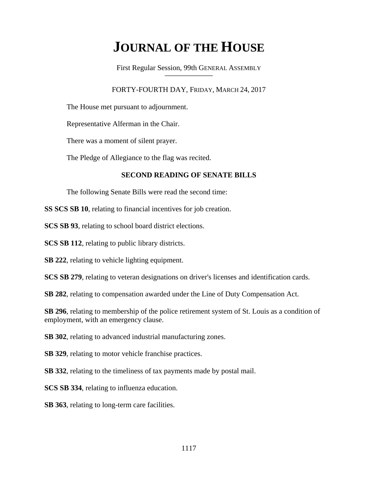# **JOURNAL OF THE HOUSE**

First Regular Session, 99th GENERAL ASSEMBLY **\_\_\_\_\_\_\_\_\_\_\_\_\_\_\_\_\_\_\_\_\_\_\_\_\_\_**

# FORTY-FOURTH DAY, FRIDAY, MARCH 24, 2017

The House met pursuant to adjournment.

Representative Alferman in the Chair.

There was a moment of silent prayer.

The Pledge of Allegiance to the flag was recited.

# **SECOND READING OF SENATE BILLS**

The following Senate Bills were read the second time:

**SS SCS SB 10**, relating to financial incentives for job creation.

**SCS SB 93**, relating to school board district elections.

**SCS SB 112**, relating to public library districts.

**SB 222**, relating to vehicle lighting equipment.

**SCS SB 279**, relating to veteran designations on driver's licenses and identification cards.

**SB 282**, relating to compensation awarded under the Line of Duty Compensation Act.

**SB 296**, relating to membership of the police retirement system of St. Louis as a condition of employment, with an emergency clause.

**SB 302**, relating to advanced industrial manufacturing zones.

**SB 329**, relating to motor vehicle franchise practices.

**SB 332**, relating to the timeliness of tax payments made by postal mail.

**SCS SB 334**, relating to influenza education.

**SB 363**, relating to long-term care facilities.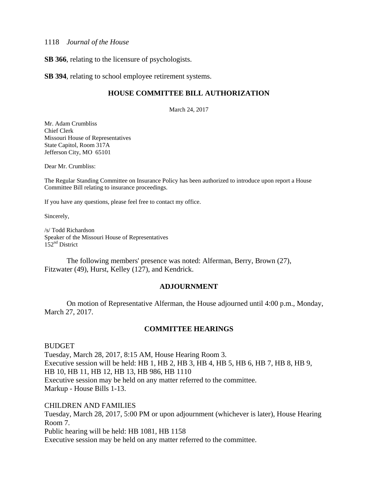#### 1118 *Journal of the House*

**SB 366**, relating to the licensure of psychologists.

**SB 394**, relating to school employee retirement systems.

## **HOUSE COMMITTEE BILL AUTHORIZATION**

March 24, 2017

Mr. Adam Crumbliss Chief Clerk Missouri House of Representatives State Capitol, Room 317A Jefferson City, MO 65101

Dear Mr. Crumbliss:

The Regular Standing Committee on Insurance Policy has been authorized to introduce upon report a House Committee Bill relating to insurance proceedings.

If you have any questions, please feel free to contact my office.

Sincerely,

/s/ Todd Richardson Speaker of the Missouri House of Representatives 152nd District

 The following members' presence was noted: Alferman, Berry, Brown (27), Fitzwater (49), Hurst, Kelley (127), and Kendrick.

#### **ADJOURNMENT**

 On motion of Representative Alferman, the House adjourned until 4:00 p.m., Monday, March 27, 2017.

#### **COMMITTEE HEARINGS**

BUDGET

Tuesday, March 28, 2017, 8:15 AM, House Hearing Room 3. Executive session will be held: HB 1, HB 2, HB 3, HB 4, HB 5, HB 6, HB 7, HB 8, HB 9, HB 10, HB 11, HB 12, HB 13, HB 986, HB 1110 Executive session may be held on any matter referred to the committee. Markup - House Bills 1-13.

CHILDREN AND FAMILIES Tuesday, March 28, 2017, 5:00 PM or upon adjournment (whichever is later), House Hearing Room 7. Public hearing will be held: HB 1081, HB 1158 Executive session may be held on any matter referred to the committee.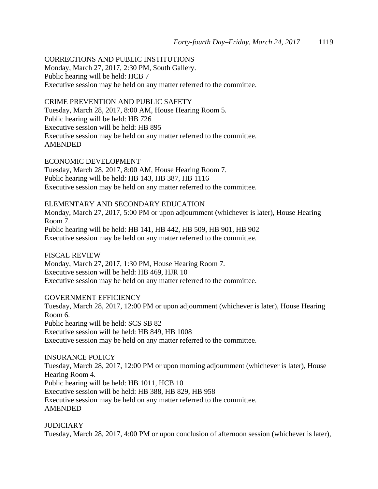CORRECTIONS AND PUBLIC INSTITUTIONS Monday, March 27, 2017, 2:30 PM, South Gallery.

Public hearing will be held: HCB 7 Executive session may be held on any matter referred to the committee.

CRIME PREVENTION AND PUBLIC SAFETY

Tuesday, March 28, 2017, 8:00 AM, House Hearing Room 5. Public hearing will be held: HB 726 Executive session will be held: HB 895 Executive session may be held on any matter referred to the committee. AMENDED

ECONOMIC DEVELOPMENT Tuesday, March 28, 2017, 8:00 AM, House Hearing Room 7. Public hearing will be held: HB 143, HB 387, HB 1116 Executive session may be held on any matter referred to the committee.

ELEMENTARY AND SECONDARY EDUCATION

Monday, March 27, 2017, 5:00 PM or upon adjournment (whichever is later), House Hearing Room 7. Public hearing will be held: HB 141, HB 442, HB 509, HB 901, HB 902 Executive session may be held on any matter referred to the committee.

FISCAL REVIEW Monday, March 27, 2017, 1:30 PM, House Hearing Room 7. Executive session will be held: HB 469, HJR 10 Executive session may be held on any matter referred to the committee.

GOVERNMENT EFFICIENCY Tuesday, March 28, 2017, 12:00 PM or upon adjournment (whichever is later), House Hearing Room 6. Public hearing will be held: SCS SB 82 Executive session will be held: HB 849, HB 1008 Executive session may be held on any matter referred to the committee.

INSURANCE POLICY Tuesday, March 28, 2017, 12:00 PM or upon morning adjournment (whichever is later), House Hearing Room 4. Public hearing will be held: HB 1011, HCB 10 Executive session will be held: HB 388, HB 829, HB 958 Executive session may be held on any matter referred to the committee. AMENDED

**JUDICIARY** Tuesday, March 28, 2017, 4:00 PM or upon conclusion of afternoon session (whichever is later),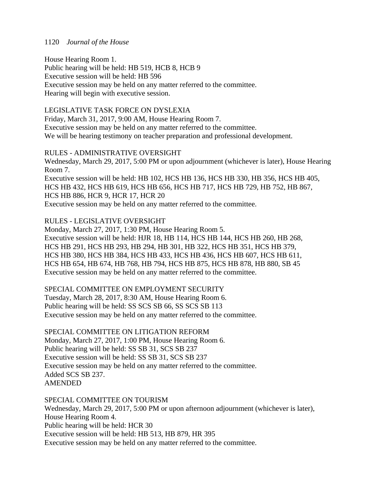## 1120 *Journal of the House*

House Hearing Room 1.

Public hearing will be held: HB 519, HCB 8, HCB 9 Executive session will be held: HB 596 Executive session may be held on any matter referred to the committee. Hearing will begin with executive session.

LEGISLATIVE TASK FORCE ON DYSLEXIA Friday, March 31, 2017, 9:00 AM, House Hearing Room 7. Executive session may be held on any matter referred to the committee. We will be hearing testimony on teacher preparation and professional development.

# RULES - ADMINISTRATIVE OVERSIGHT

Wednesday, March 29, 2017, 5:00 PM or upon adjournment (whichever is later), House Hearing Room 7.

Executive session will be held: HB 102, HCS HB 136, HCS HB 330, HB 356, HCS HB 405, HCS HB 432, HCS HB 619, HCS HB 656, HCS HB 717, HCS HB 729, HB 752, HB 867, HCS HB 886, HCR 9, HCR 17, HCR 20

Executive session may be held on any matter referred to the committee.

# RULES - LEGISLATIVE OVERSIGHT

Monday, March 27, 2017, 1:30 PM, House Hearing Room 5. Executive session will be held: HJR 18, HB 114, HCS HB 144, HCS HB 260, HB 268, HCS HB 291, HCS HB 293, HB 294, HB 301, HB 322, HCS HB 351, HCS HB 379, HCS HB 380, HCS HB 384, HCS HB 433, HCS HB 436, HCS HB 607, HCS HB 611, HCS HB 654, HB 674, HB 768, HB 794, HCS HB 875, HCS HB 878, HB 880, SB 45 Executive session may be held on any matter referred to the committee.

# SPECIAL COMMITTEE ON EMPLOYMENT SECURITY

Tuesday, March 28, 2017, 8:30 AM, House Hearing Room 6. Public hearing will be held: SS SCS SB 66, SS SCS SB 113 Executive session may be held on any matter referred to the committee.

# SPECIAL COMMITTEE ON LITIGATION REFORM

Monday, March 27, 2017, 1:00 PM, House Hearing Room 6. Public hearing will be held: SS SB 31, SCS SB 237 Executive session will be held: SS SB 31, SCS SB 237 Executive session may be held on any matter referred to the committee. Added SCS SB 237. AMENDED

# SPECIAL COMMITTEE ON TOURISM

Wednesday, March 29, 2017, 5:00 PM or upon afternoon adjournment (whichever is later), House Hearing Room 4. Public hearing will be held: HCR 30 Executive session will be held: HB 513, HB 879, HR 395 Executive session may be held on any matter referred to the committee.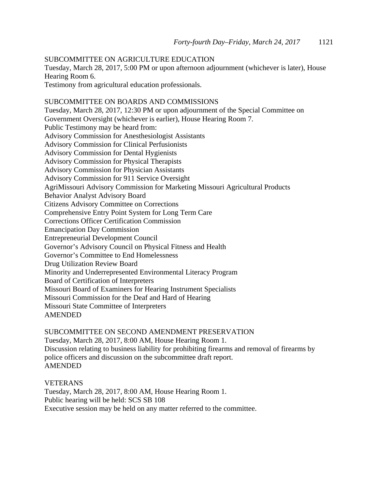#### SUBCOMMITTEE ON AGRICULTURE EDUCATION

Tuesday, March 28, 2017, 5:00 PM or upon afternoon adjournment (whichever is later), House Hearing Room 6.

Testimony from agricultural education professionals.

# SUBCOMMITTEE ON BOARDS AND COMMISSIONS

Tuesday, March 28, 2017, 12:30 PM or upon adjournment of the Special Committee on Government Oversight (whichever is earlier), House Hearing Room 7. Public Testimony may be heard from: Advisory Commission for Anesthesiologist Assistants Advisory Commission for Clinical Perfusionists Advisory Commission for Dental Hygienists Advisory Commission for Physical Therapists Advisory Commission for Physician Assistants Advisory Commission for 911 Service Oversight AgriMissouri Advisory Commission for Marketing Missouri Agricultural Products Behavior Analyst Advisory Board Citizens Advisory Committee on Corrections Comprehensive Entry Point System for Long Term Care Corrections Officer Certification Commission Emancipation Day Commission Entrepreneurial Development Council Governor's Advisory Council on Physical Fitness and Health Governor's Committee to End Homelessness Drug Utilization Review Board Minority and Underrepresented Environmental Literacy Program Board of Certification of Interpreters Missouri Board of Examiners for Hearing Instrument Specialists Missouri Commission for the Deaf and Hard of Hearing Missouri State Committee of Interpreters AMENDED

SUBCOMMITTEE ON SECOND AMENDMENT PRESERVATION Tuesday, March 28, 2017, 8:00 AM, House Hearing Room 1. Discussion relating to business liability for prohibiting firearms and removal of firearms by police officers and discussion on the subcommittee draft report. AMENDED

#### VETERANS

Tuesday, March 28, 2017, 8:00 AM, House Hearing Room 1. Public hearing will be held: SCS SB 108 Executive session may be held on any matter referred to the committee.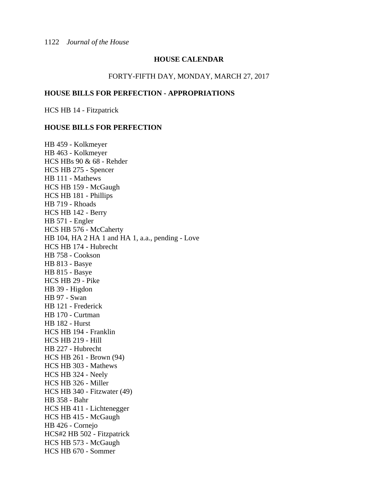#### **HOUSE CALENDAR**

#### FORTY-FIFTH DAY, MONDAY, MARCH 27, 2017

#### **HOUSE BILLS FOR PERFECTION - APPROPRIATIONS**

HCS HB 14 - Fitzpatrick

#### **HOUSE BILLS FOR PERFECTION**

HB 459 - Kolkmeyer HB 463 - Kolkmeyer HCS HBs 90 & 68 - Rehder HCS HB 275 - Spencer HB 111 - Mathews HCS HB 159 - McGaugh HCS HB 181 - Phillips HB 719 - Rhoads HCS HB 142 - Berry HB 571 - Engler HCS HB 576 - McCaherty HB 104, HA 2 HA 1 and HA 1, a.a., pending - Love HCS HB 174 - Hubrecht HB 758 - Cookson HB 813 - Basye HB 815 - Basye HCS HB 29 - Pike HB 39 - Higdon HB 97 - Swan HB 121 - Frederick HB 170 - Curtman HB 182 - Hurst HCS HB 194 - Franklin HCS HB 219 - Hill HB 227 - Hubrecht HCS HB 261 - Brown (94) HCS HB 303 - Mathews HCS HB 324 - Neely HCS HB 326 - Miller HCS HB 340 - Fitzwater (49) HB 358 - Bahr HCS HB 411 - Lichtenegger HCS HB 415 - McGaugh HB 426 - Cornejo HCS#2 HB 502 - Fitzpatrick HCS HB 573 - McGaugh HCS HB 670 - Sommer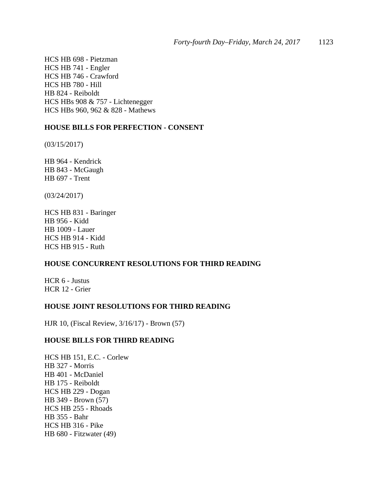HCS HB 698 - Pietzman HCS HB 741 - Engler HCS HB 746 - Crawford HCS HB 780 - Hill HB 824 - Reiboldt HCS HBs 908 & 757 - Lichtenegger HCS HBs 960, 962 & 828 - Mathews

#### **HOUSE BILLS FOR PERFECTION - CONSENT**

(03/15/2017)

HB 964 - Kendrick HB 843 - McGaugh HB 697 - Trent

(03/24/2017)

HCS HB 831 - Baringer HB 956 - Kidd HB 1009 - Lauer HCS HB 914 - Kidd HCS HB 915 - Ruth

## **HOUSE CONCURRENT RESOLUTIONS FOR THIRD READING**

HCR 6 - Justus HCR 12 - Grier

#### **HOUSE JOINT RESOLUTIONS FOR THIRD READING**

HJR 10, (Fiscal Review, 3/16/17) - Brown (57)

#### **HOUSE BILLS FOR THIRD READING**

HCS HB 151, E.C. - Corlew HB 327 - Morris HB 401 - McDaniel HB 175 - Reiboldt HCS HB 229 - Dogan HB 349 - Brown (57) HCS HB 255 - Rhoads HB 355 - Bahr HCS HB 316 - Pike HB 680 - Fitzwater (49)